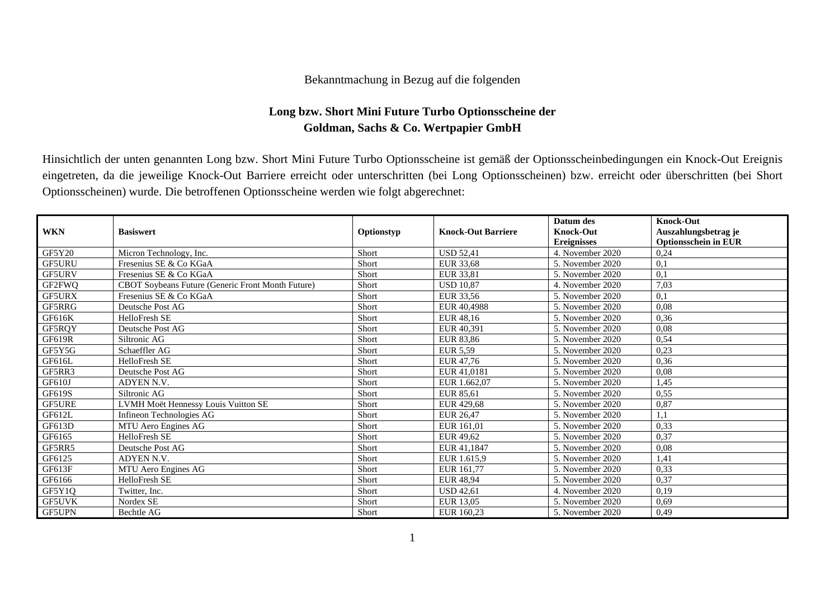## Bekanntmachung in Bezug auf die folgenden

## **Long bzw. Short Mini Future Turbo Optionsscheine der Goldman, Sachs & Co. Wertpapier GmbH**

Hinsichtlich der unten genannten Long bzw. Short Mini Future Turbo Optionsscheine ist gemäß der Optionsscheinbedingungen ein Knock-Out Ereignis eingetreten, da die jeweilige Knock-Out Barriere erreicht oder unterschritten (bei Long Optionsscheinen) bzw. erreicht oder überschritten (bei Short Optionsscheinen) wurde. Die betroffenen Optionsscheine werden wie folgt abgerechnet:

| <b>WKN</b>    | <b>Basiswert</b>                                  | Optionstyp | <b>Knock-Out Barriere</b> | Datum des<br><b>Knock-Out</b> | <b>Knock-Out</b><br>Auszahlungsbetrag je |
|---------------|---------------------------------------------------|------------|---------------------------|-------------------------------|------------------------------------------|
|               |                                                   |            |                           | <b>Ereignisses</b>            | <b>Optionsschein in EUR</b>              |
| <b>GF5Y20</b> | Micron Technology, Inc.                           | Short      | <b>USD 52,41</b>          | 4. November 2020              | 0,24                                     |
| GF5URU        | Fresenius SE & Co KGaA                            | Short      | EUR 33,68                 | 5. November 2020              | 0,1                                      |
| <b>GF5URV</b> | Fresenius SE & Co KGaA                            | Short      | EUR 33.81                 | 5. November 2020              | 0,1                                      |
| GF2FWQ        | CBOT Soybeans Future (Generic Front Month Future) | Short      | <b>USD 10.87</b>          | 4. November 2020              | 7,03                                     |
| <b>GF5URX</b> | Fresenius SE & Co KGaA                            | Short      | EUR 33,56                 | 5. November 2020              | 0,1                                      |
| GF5RRG        | Deutsche Post AG                                  | Short      | EUR 40.4988               | 5. November 2020              | 0,08                                     |
| GF616K        | HelloFresh SE                                     | Short      | EUR 48,16                 | 5. November 2020              | 0,36                                     |
| GF5RQY        | Deutsche Post AG                                  | Short      | EUR 40,391                | 5. November 2020              | 0,08                                     |
| GF619R        | Siltronic AG                                      | Short      | EUR 83,86                 | 5. November 2020              | 0.54                                     |
| GF5Y5G        | Schaeffler AG                                     | Short      | <b>EUR 5,59</b>           | 5. November 2020              | 0,23                                     |
| GF616L        | HelloFresh SE                                     | Short      | EUR 47,76                 | 5. November 2020              | 0,36                                     |
| GF5RR3        | Deutsche Post AG                                  | Short      | EUR 41,0181               | 5. November 2020              | 0.08                                     |
| GF610J        | <b>ADYEN N.V.</b>                                 | Short      | EUR 1.662.07              | 5. November 2020              | 1,45                                     |
| GF619S        | Siltronic AG                                      | Short      | EUR 85,61                 | 5. November 2020              | 0,55                                     |
| <b>GF5URE</b> | LVMH Moët Hennessy Louis Vuitton SE               | Short      | EUR 429,68                | 5. November 2020              | 0,87                                     |
| GF612L        | Infineon Technologies AG                          | Short      | <b>EUR 26,47</b>          | 5. November 2020              | 1,1                                      |
| GF613D        | MTU Aero Engines AG                               | Short      | EUR 161,01                | 5. November 2020              | 0,33                                     |
| GF6165        | HelloFresh SE                                     | Short      | EUR 49,62                 | 5. November 2020              | 0,37                                     |
| GF5RR5        | Deutsche Post AG                                  | Short      | EUR 41.1847               | 5. November 2020              | 0,08                                     |
| GF6125        | ADYEN N.V.                                        | Short      | EUR 1.615,9               | 5. November 2020              | 1,41                                     |
| GF613F        | MTU Aero Engines AG                               | Short      | EUR 161,77                | 5. November 2020              | 0,33                                     |
| GF6166        | HelloFresh SE                                     | Short      | <b>EUR 48,94</b>          | 5. November 2020              | 0,37                                     |
| GF5Y1Q        | Twitter, Inc.                                     | Short      | <b>USD 42,61</b>          | 4. November 2020              | 0,19                                     |
| <b>GF5UVK</b> | Nordex SE                                         | Short      | EUR 13,05                 | 5. November 2020              | 0,69                                     |
| <b>GF5UPN</b> | Bechtle AG                                        | Short      | EUR 160.23                | 5. November 2020              | 0,49                                     |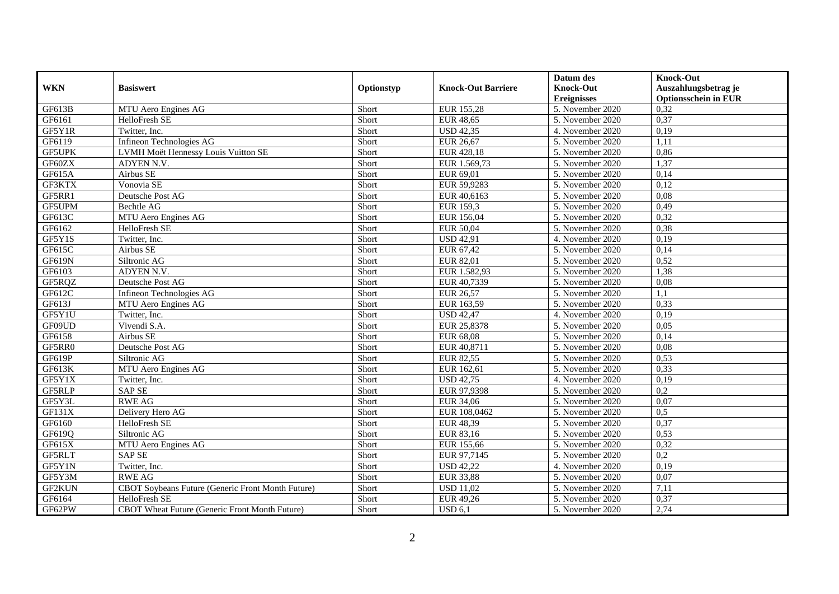|               |                                                   |            |                           | Datum des          | <b>Knock-Out</b>            |
|---------------|---------------------------------------------------|------------|---------------------------|--------------------|-----------------------------|
| <b>WKN</b>    | <b>Basiswert</b>                                  | Optionstyp | <b>Knock-Out Barriere</b> | <b>Knock-Out</b>   | Auszahlungsbetrag je        |
|               |                                                   |            |                           | <b>Ereignisses</b> | <b>Optionsschein in EUR</b> |
| GF613B        | MTU Aero Engines AG                               | Short      | EUR 155,28                | 5. November 2020   | 0,32                        |
| GF6161        | HelloFresh SE                                     | Short      | <b>EUR 48,65</b>          | 5. November 2020   | 0,37                        |
| GF5Y1R        | Twitter, Inc.                                     | Short      | <b>USD 42,35</b>          | 4. November 2020   | 0,19                        |
| GF6119        | Infineon Technologies AG                          | Short      | <b>EUR 26,67</b>          | 5. November 2020   | 1,11                        |
| <b>GF5UPK</b> | LVMH Moët Hennessy Louis Vuitton SE               | Short      | EUR 428,18                | 5. November 2020   | 0,86                        |
| GF60ZX        | ADYEN N.V.                                        | Short      | EUR 1.569,73              | 5. November 2020   | 1,37                        |
| GF615A        | Airbus SE                                         | Short      | EUR 69,01                 | 5. November 2020   | 0,14                        |
| GF3KTX        | Vonovia SE                                        | Short      | EUR 59,9283               | 5. November 2020   | 0,12                        |
| GF5RR1        | Deutsche Post AG                                  | Short      | EUR 40,6163               | 5. November 2020   | 0,08                        |
| GF5UPM        | Bechtle AG                                        | Short      | <b>EUR 159,3</b>          | 5. November 2020   | 0,49                        |
| GF613C        | MTU Aero Engines AG                               | Short      | EUR 156,04                | 5. November 2020   | 0,32                        |
| GF6162        | HelloFresh SE                                     | Short      | <b>EUR 50,04</b>          | 5. November 2020   | 0,38                        |
| GF5Y1S        | Twitter, Inc.                                     | Short      | <b>USD 42,91</b>          | 4. November 2020   | 0,19                        |
| GF615C        | Airbus SE                                         | Short      | EUR 67,42                 | 5. November 2020   | 0,14                        |
| <b>GF619N</b> | Siltronic AG                                      | Short      | EUR 82,01                 | 5. November 2020   | 0,52                        |
| GF6103        | ADYEN N.V.                                        | Short      | EUR 1.582,93              | 5. November 2020   | 1,38                        |
| GF5RQZ        | Deutsche Post AG                                  | Short      | EUR 40,7339               | 5. November 2020   | 0,08                        |
| GF612C        | Infineon Technologies AG                          | Short      | <b>EUR 26,57</b>          | 5. November 2020   | 1,1                         |
| GF613J        | MTU Aero Engines AG                               | Short      | EUR 163,59                | 5. November 2020   | 0,33                        |
| GF5Y1U        | Twitter, Inc.                                     | Short      | <b>USD 42,47</b>          | 4. November 2020   | 0,19                        |
| GF09UD        | Vivendi S.A.                                      | Short      | EUR 25,8378               | 5. November 2020   | 0,05                        |
| GF6158        | Airbus SE                                         | Short      | <b>EUR 68,08</b>          | 5. November 2020   | 0,14                        |
| GF5RR0        | Deutsche Post AG                                  | Short      | EUR 40,8711               | 5. November 2020   | 0,08                        |
| GF619P        | Siltronic AG                                      | Short      | <b>EUR 82,55</b>          | 5. November 2020   | 0.53                        |
| GF613K        | MTU Aero Engines AG                               | Short      | EUR 162,61                | 5. November 2020   | 0,33                        |
| GF5Y1X        | Twitter, Inc.                                     | Short      | <b>USD 42,75</b>          | 4. November 2020   | 0,19                        |
| <b>GF5RLP</b> | <b>SAP SE</b>                                     | Short      | EUR 97,9398               | 5. November 2020   | 0,2                         |
| GF5Y3L        | <b>RWE AG</b>                                     | Short      | EUR 34,06                 | 5. November 2020   | 0,07                        |
| GF131X        | Delivery Hero AG                                  | Short      | EUR 108,0462              | 5. November 2020   | 0,5                         |
| GF6160        | HelloFresh SE                                     | Short      | EUR 48,39                 | 5. November 2020   | 0.37                        |
| GF619Q        | Siltronic AG                                      | Short      | EUR 83,16                 | 5. November 2020   | 0,53                        |
| GF615X        | MTU Aero Engines AG                               | Short      | EUR 155,66                | 5. November 2020   | 0,32                        |
| GF5RLT        | <b>SAP SE</b>                                     | Short      | EUR 97,7145               | 5. November 2020   | $\overline{0,2}$            |
| GF5Y1N        | Twitter, Inc.                                     | Short      | <b>USD 42,22</b>          | 4. November 2020   | 0,19                        |
| GF5Y3M        | <b>RWE AG</b>                                     | Short      | <b>EUR 33,88</b>          | 5. November 2020   | 0,07                        |
| GF2KUN        | CBOT Soybeans Future (Generic Front Month Future) | Short      | <b>USD 11,02</b>          | 5. November 2020   | 7,11                        |
| GF6164        | HelloFresh SE                                     | Short      | EUR 49,26                 | 5. November 2020   | 0,37                        |
| GF62PW        | CBOT Wheat Future (Generic Front Month Future)    | Short      | USD 6,1                   | 5. November 2020   | 2,74                        |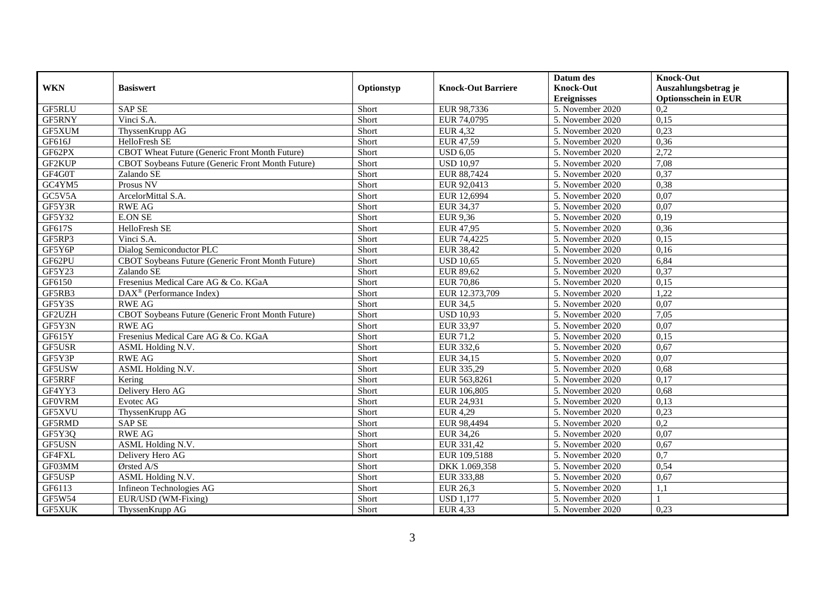|               |                                                       |            |                           | Datum des          | <b>Knock-Out</b>            |
|---------------|-------------------------------------------------------|------------|---------------------------|--------------------|-----------------------------|
| <b>WKN</b>    | <b>Basiswert</b>                                      | Optionstyp | <b>Knock-Out Barriere</b> | <b>Knock-Out</b>   | Auszahlungsbetrag je        |
|               |                                                       |            |                           | <b>Ereignisses</b> | <b>Optionsschein in EUR</b> |
| GF5RLU        | <b>SAP SE</b>                                         | Short      | EUR 98,7336               | 5. November 2020   | 0,2                         |
| GF5RNY        | Vinci S.A.                                            | Short      | EUR 74,0795               | 5. November 2020   | 0,15                        |
| GF5XUM        | ThyssenKrupp AG                                       | Short      | <b>EUR 4,32</b>           | 5. November 2020   | 0,23                        |
| GF616J        | HelloFresh SE                                         | Short      | EUR 47,59                 | 5. November 2020   | 0,36                        |
| GF62PX        | CBOT Wheat Future (Generic Front Month Future)        | Short      | <b>USD 6,05</b>           | 5. November 2020   | 2,72                        |
| GF2KUP        | CBOT Soybeans Future (Generic Front Month Future)     | Short      | <b>USD 10,97</b>          | 5. November 2020   | 7,08                        |
| GF4G0T        | Zalando SE                                            | Short      | EUR 88,7424               | 5. November 2020   | 0,37                        |
| GC4YM5        | Prosus NV                                             | Short      | EUR 92,0413               | 5. November 2020   | 0,38                        |
| GC5V5A        | ArcelorMittal S.A.                                    | Short      | EUR 12,6994               | 5. November 2020   | 0,07                        |
| GF5Y3R        | <b>RWE AG</b>                                         | Short      | EUR 34,37                 | 5. November 2020   | 0,07                        |
| GF5Y32        | <b>E.ON SE</b>                                        | Short      | EUR 9,36                  | 5. November 2020   | 0,19                        |
| GF617S        | HelloFresh SE                                         | Short      | <b>EUR 47,95</b>          | 5. November 2020   | 0,36                        |
| GF5RP3        | Vinci S.A.                                            | Short      | EUR 74,4225               | 5. November 2020   | 0,15                        |
| GF5Y6P        | Dialog Semiconductor PLC                              | Short      | <b>EUR 38,42</b>          | 5. November 2020   | 0,16                        |
| GF62PU        | CBOT Soybeans Future (Generic Front Month Future)     | Short      | <b>USD 10,65</b>          | 5. November 2020   | 6,84                        |
| GF5Y23        | Zalando SE                                            | Short      | EUR 89,62                 | 5. November 2020   | 0,37                        |
| GF6150        | Fresenius Medical Care AG & Co. KGaA                  | Short      | <b>EUR 70,86</b>          | 5. November 2020   | 0,15                        |
| GF5RB3        | $\overline{\text{DAX}^{\otimes}}$ (Performance Index) | Short      | EUR 12.373,709            | 5. November 2020   | 1,22                        |
| GF5Y3S        | <b>RWE AG</b>                                         | Short      | <b>EUR 34,5</b>           | 5. November 2020   | 0,07                        |
| GF2UZH        | CBOT Soybeans Future (Generic Front Month Future)     | Short      | <b>USD 10,93</b>          | 5. November 2020   | 7,05                        |
| GF5Y3N        | <b>RWE AG</b>                                         | Short      | <b>EUR 33,97</b>          | 5. November 2020   | 0,07                        |
| GF615Y        | Fresenius Medical Care AG & Co. KGaA                  | Short      | EUR 71,2                  | 5. November 2020   | 0,15                        |
| GF5USR        | ASML Holding N.V.                                     | Short      | <b>EUR 332,6</b>          | 5. November 2020   | 0,67                        |
| GF5Y3P        | <b>RWE AG</b>                                         | Short      | EUR 34,15                 | 5. November 2020   | 0,07                        |
| GF5USW        | ASML Holding N.V.                                     | Short      | EUR 335,29                | 5. November 2020   | 0,68                        |
| GF5RRF        | Kering                                                | Short      | EUR 563,8261              | 5. November 2020   | 0,17                        |
| GF4YY3        | Delivery Hero AG                                      | Short      | EUR 106,805               | 5. November 2020   | 0,68                        |
| <b>GFOVRM</b> | Evotec AG                                             | Short      | EUR 24,931                | 5. November 2020   | 0,13                        |
| GF5XVU        | ThyssenKrupp AG                                       | Short      | <b>EUR 4,29</b>           | 5. November 2020   | 0,23                        |
| GF5RMD        | <b>SAP SE</b>                                         | Short      | EUR 98,4494               | 5. November 2020   | $\overline{0.2}$            |
| GF5Y3Q        | <b>RWE AG</b>                                         | Short      | EUR 34,26                 | 5. November 2020   | 0,07                        |
| GF5USN        | ASML Holding N.V.                                     | Short      | EUR 331,42                | 5. November 2020   | 0,67                        |
| GF4FXL        | Delivery Hero AG                                      | Short      | EUR 109,5188              | 5. November 2020   | $\overline{0.7}$            |
| GF03MM        | Ørsted A/S                                            | Short      | DKK 1.069,358             | 5. November 2020   | 0,54                        |
| GF5USP        | ASML Holding N.V.                                     | Short      | EUR 333,88                | 5. November 2020   | 0,67                        |
| GF6113        | Infineon Technologies AG                              | Short      | <b>EUR 26,3</b>           | 5. November 2020   | 1,1                         |
| GF5W54        | EUR/USD (WM-Fixing)                                   | Short      | <b>USD 1,177</b>          | 5. November 2020   |                             |
| <b>GF5XUK</b> | ThyssenKrupp AG                                       | Short      | <b>EUR 4,33</b>           | 5. November 2020   | 0,23                        |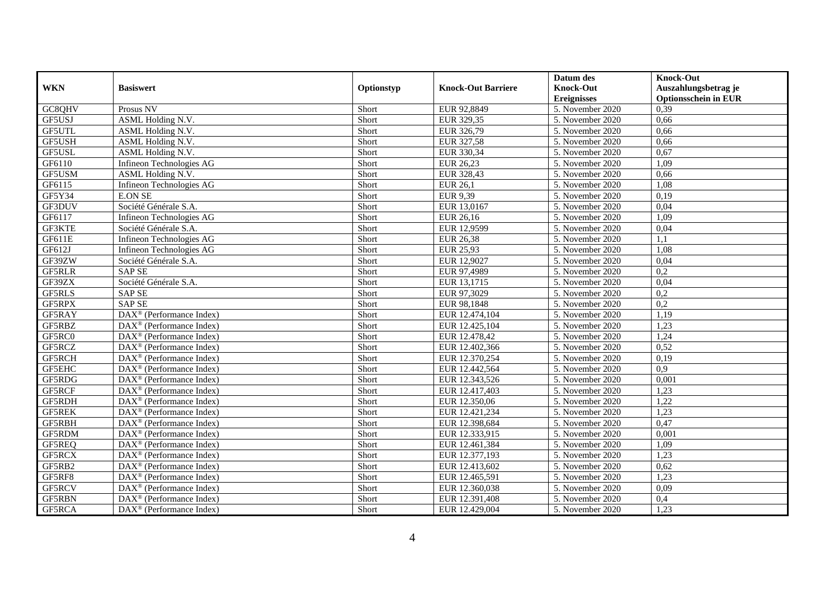|               |                                                         |            |                           | Datum des                      | <b>Knock-Out</b>            |
|---------------|---------------------------------------------------------|------------|---------------------------|--------------------------------|-----------------------------|
| <b>WKN</b>    | <b>Basiswert</b>                                        | Optionstyp | <b>Knock-Out Barriere</b> | <b>Knock-Out</b>               | Auszahlungsbetrag je        |
|               |                                                         |            |                           | <b>Ereignisses</b>             | <b>Optionsschein in EUR</b> |
| GC8QHV        | Prosus NV                                               | Short      | EUR 92,8849               | 5. November 2020               | 0,39                        |
| GF5USJ        | ASML Holding N.V.                                       | Short      | EUR 329,35                | 5. November 2020               | 0,66                        |
| GF5UTL        | ASML Holding N.V.                                       | Short      | EUR 326,79                | 5. November 2020               | 0,66                        |
| GF5USH        | ASML Holding N.V.                                       | Short      | EUR 327,58                | 5. November 2020               | 0,66                        |
| GF5USL        | ASML Holding N.V.                                       | Short      | EUR 330,34                | 5. November 2020               | 0,67                        |
| GF6110        | Infineon Technologies AG                                | Short      | EUR 26,23                 | 5. November 2020               | 1,09                        |
| GF5USM        | ASML Holding N.V.                                       | Short      | EUR 328,43                | 5. November 2020               | 0,66                        |
| GF6115        | Infineon Technologies AG                                | Short      | <b>EUR 26,1</b>           | 5. November 2020               | 1,08                        |
| GF5Y34        | <b>E.ON SE</b>                                          | Short      | EUR 9,39                  | 5. November 2020               | 0,19                        |
| GF3DUV        | Société Générale S.A.                                   | Short      | EUR 13,0167               | 5. November 2020               | 0,04                        |
| GF6117        | Infineon Technologies AG                                | Short      | EUR 26,16                 | 5. November 2020               | 1,09                        |
| GF3KTE        | Société Générale S.A.                                   | Short      | EUR 12,9599               | 5. November 2020               | 0,04                        |
| GF611E        | Infineon Technologies AG                                | Short      | <b>EUR 26,38</b>          | 5. November 2020               | 1.1                         |
| GF612J        | Infineon Technologies AG                                | Short      | EUR 25,93                 | 5. November 2020               | 1,08                        |
| GF39ZW        | Société Générale S.A.                                   | Short      | EUR 12,9027               | 5. November 2020               | 0,04                        |
| GF5RLR        | <b>SAP SE</b>                                           | Short      | EUR 97,4989               | 5. November 2020               | 0,2                         |
| GF39ZX        | Société Générale S.A.                                   | Short      | EUR 13,1715               | 5. November 2020               | 0,04                        |
| <b>GF5RLS</b> | <b>SAP SE</b>                                           | Short      | EUR 97,3029               | 5. November 2020               | $\overline{0,2}$            |
| GF5RPX        | <b>SAP SE</b>                                           | Short      | EUR 98,1848               | 5. November 2020               | 0,2                         |
| GF5RAY        | DAX <sup>®</sup> (Performance Index)                    | Short      | EUR 12.474,104            | 5. November 2020               | 1,19                        |
| GF5RBZ        | DAX <sup>®</sup> (Performance Index)                    | Short      | EUR 12.425,104            | 5. November 2020               | 1,23                        |
| GF5RC0        | $DAX^{\circledR}$ (Performance Index)                   | Short      | EUR 12.478,42             | 5. November 2020               | 1,24                        |
| GF5RCZ        | $\overline{\text{DAX}^{\otimes}}$ (Performance Index)   | Short      | EUR 12.402,366            | 5. November 2020               | 0,52                        |
| GF5RCH        | $\text{DAX}^{\textcircled{}}$ (Performance Index)       | Short      | EUR 12.370,254            | 5. November 2020               | 0.19                        |
| <b>GF5EHC</b> | $\text{DAX}^{\textcircled{}}$ (Performance Index)       | Short      | EUR 12.442,564            | 5. November 2020               | $\overline{0.9}$            |
| GF5RDG        | $\text{DAX}^{\otimes}$ (Performance Index)              | Short      | EUR 12.343,526            | 5. November 2020               | 0,001                       |
| GF5RCF        | DAX <sup>®</sup> (Performance Index)                    | Short      | EUR 12.417,403            | 5. November 2020               | 1,23                        |
| GF5RDH        | $\overline{\text{DAX}^{\otimes}}$ (Performance Index)   | Short      | EUR 12.350,06             | $\overline{5}$ . November 2020 | 1,22                        |
| <b>GF5REK</b> | $\text{DAX}^{\circledast}$ (Performance Index)          | Short      | EUR 12.421,234            | 5. November 2020               | 1,23                        |
| GF5RBH        | $DAX^{\circledR}$ (Performance Index)                   | Short      | EUR 12.398,684            | 5. November 2020               | 0,47                        |
| GF5RDM        | $\text{DAX}^{\textcircled{}}$ (Performance Index)       | Short      | EUR 12.333,915            | 5. November 2020               | 0,001                       |
| GF5REQ        | DAX <sup>®</sup> (Performance Index)                    | Short      | EUR 12.461,384            | 5. November 2020               | 1,09                        |
| GF5RCX        | $\overline{\text{DAX}^{\otimes}}$ (Performance Index)   | Short      | EUR 12.377,193            | 5. November 2020               | 1,23                        |
| GF5RB2        | $\overline{\text{DAX}}^{\textcirc}$ (Performance Index) | Short      | EUR 12.413,602            | 5. November 2020               | 0,62                        |
| GF5RF8        | $\text{DAX}^{\circledast}$ (Performance Index)          | Short      | EUR 12.465,591            | 5. November 2020               | 1,23                        |
| GF5RCV        | $DAX^{\circledR}$ (Performance Index)                   | Short      | EUR 12.360,038            | 5. November 2020               | 0,09                        |
| GF5RBN        | $DAX^{\circledcirc}$ (Performance Index)                | Short      | EUR 12.391,408            | 5. November 2020               | 0,4                         |
| GF5RCA        | $\text{DAX}^{\otimes}$ (Performance Index)              | Short      | EUR 12.429,004            | 5. November 2020               | 1,23                        |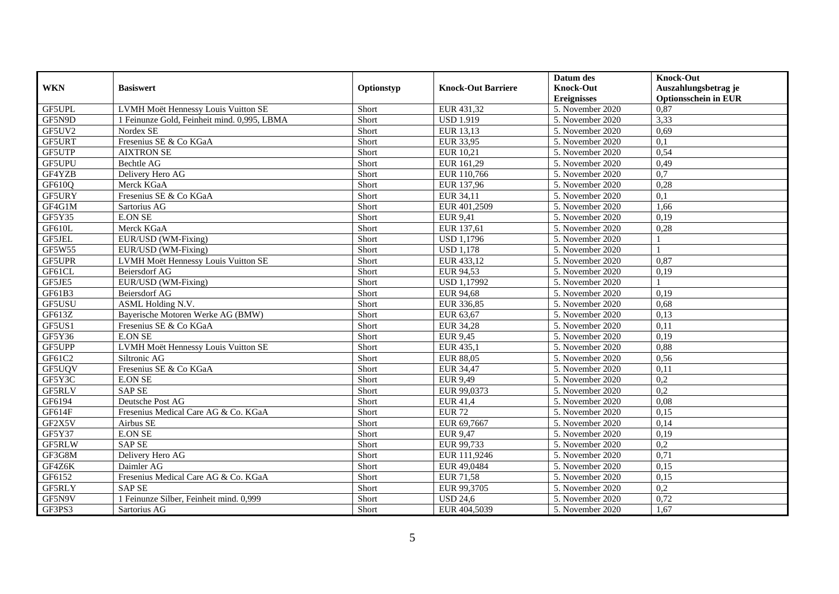|               |                                             |            |                           | Datum des          | <b>Knock-Out</b>            |
|---------------|---------------------------------------------|------------|---------------------------|--------------------|-----------------------------|
| <b>WKN</b>    | <b>Basiswert</b>                            | Optionstyp | <b>Knock-Out Barriere</b> | <b>Knock-Out</b>   | Auszahlungsbetrag je        |
|               |                                             |            |                           | <b>Ereignisses</b> | <b>Optionsschein in EUR</b> |
| GF5UPL        | LVMH Moët Hennessy Louis Vuitton SE         | Short      | EUR 431,32                | 5. November 2020   | 0,87                        |
| GF5N9D        | 1 Feinunze Gold, Feinheit mind, 0.995, LBMA | Short      | <b>USD 1.919</b>          | 5. November 2020   | 3,33                        |
| GF5UV2        | Nordex SE                                   | Short      | EUR 13,13                 | 5. November 2020   | 0,69                        |
| GF5URT        | Fresenius SE & Co KGaA                      | Short      | EUR 33,95                 | 5. November 2020   | 0,1                         |
| GF5UTP        | <b>AIXTRON SE</b>                           | Short      | EUR 10,21                 | 5. November 2020   | 0,54                        |
| GF5UPU        | Bechtle AG                                  | Short      | EUR 161,29                | 5. November 2020   | 0,49                        |
| GF4YZB        | Delivery Hero AG                            | Short      | EUR 110,766               | 5. November 2020   | 0,7                         |
| GF610Q        | Merck KGaA                                  | Short      | EUR 137,96                | 5. November 2020   | 0,28                        |
| GF5URY        | Fresenius SE & Co KGaA                      | Short      | EUR 34,11                 | 5. November 2020   | 0,1                         |
| GF4G1M        | Sartorius AG                                | Short      | EUR 401,2509              | 5. November 2020   | 1,66                        |
| GF5Y35        | <b>E.ON SE</b>                              | Short      | <b>EUR 9,41</b>           | 5. November 2020   | 0,19                        |
| GF610L        | Merck KGaA                                  | Short      | EUR 137,61                | 5. November 2020   | 0,28                        |
| GF5JEL        | EUR/USD (WM-Fixing)                         | Short      | <b>USD 1.1796</b>         | 5. November 2020   |                             |
| GF5W55        | EUR/USD (WM-Fixing)                         | Short      | <b>USD 1.178</b>          | 5. November 2020   |                             |
| GF5UPR        | LVMH Moët Hennessy Louis Vuitton SE         | Short      | EUR 433,12                | 5. November 2020   | 0,87                        |
| GF61CL        | Beiersdorf AG                               | Short      | EUR 94,53                 | 5. November 2020   | 0,19                        |
| GF5JE5        | EUR/USD (WM-Fixing)                         | Short      | <b>USD 1,17992</b>        | 5. November 2020   |                             |
| GF61B3        | <b>Beiersdorf AG</b>                        | Short      | <b>EUR 94.68</b>          | 5. November 2020   | 0.19                        |
| GF5USU        | ASML Holding N.V.                           | Short      | EUR 336,85                | 5. November 2020   | 0,68                        |
| GF613Z        | Bayerische Motoren Werke AG (BMW)           | Short      | EUR 63,67                 | 5. November 2020   | 0,13                        |
| GF5US1        | Fresenius SE & Co KGaA                      | Short      | <b>EUR 34,28</b>          | 5. November 2020   | 0,11                        |
| GF5Y36        | <b>E.ON SE</b>                              | Short      | <b>EUR 9,45</b>           | 5. November 2020   | 0,19                        |
| GF5UPP        | LVMH Moët Hennessy Louis Vuitton SE         | Short      | EUR 435,1                 | 5. November 2020   | 0,88                        |
| GF61C2        | Siltronic AG                                | Short      | <b>EUR 88,05</b>          | 5. November 2020   | 0,56                        |
| GF5UQV        | Fresenius SE & Co KGaA                      | Short      | EUR 34,47                 | 5. November 2020   | 0,11                        |
| GF5Y3C        | <b>E.ON SE</b>                              | Short      | EUR 9,49                  | 5. November 2020   | 0,2                         |
| GF5RLV        | <b>SAP SE</b>                               | Short      | EUR 99,0373               | 5. November 2020   | $\overline{0,2}$            |
| GF6194        | Deutsche Post AG                            | Short      | EUR 41,4                  | 5. November 2020   | 0.08                        |
| GF614F        | Fresenius Medical Care AG & Co. KGaA        | Short      | <b>EUR 72</b>             | 5. November 2020   | 0,15                        |
| GF2X5V        | Airbus SE                                   | Short      | EUR 69,7667               | 5. November 2020   | 0,14                        |
| GF5Y37        | <b>E.ON SE</b>                              | Short      | EUR 9,47                  | 5. November 2020   | 0,19                        |
| <b>GF5RLW</b> | <b>SAP SE</b>                               | Short      | EUR 99,733                | 5. November 2020   | 0,2                         |
| GF3G8M        | Delivery Hero AG                            | Short      | EUR 111,9246              | 5. November 2020   | 0,71                        |
| GF4Z6K        | Daimler AG                                  | Short      | EUR 49,0484               | 5. November 2020   | 0,15                        |
| GF6152        | Fresenius Medical Care AG & Co. KGaA        | Short      | EUR 71,58                 | 5. November 2020   | 0,15                        |
| GF5RLY        | <b>SAP SE</b>                               | Short      | EUR 99,3705               | 5. November 2020   | 0,2                         |
| GF5N9V        | 1 Feinunze Silber, Feinheit mind. 0,999     | Short      | <b>USD 24,6</b>           | 5. November 2020   | 0,72                        |
| GF3PS3        | Sartorius AG                                | Short      | EUR 404,5039              | 5. November 2020   | 1,67                        |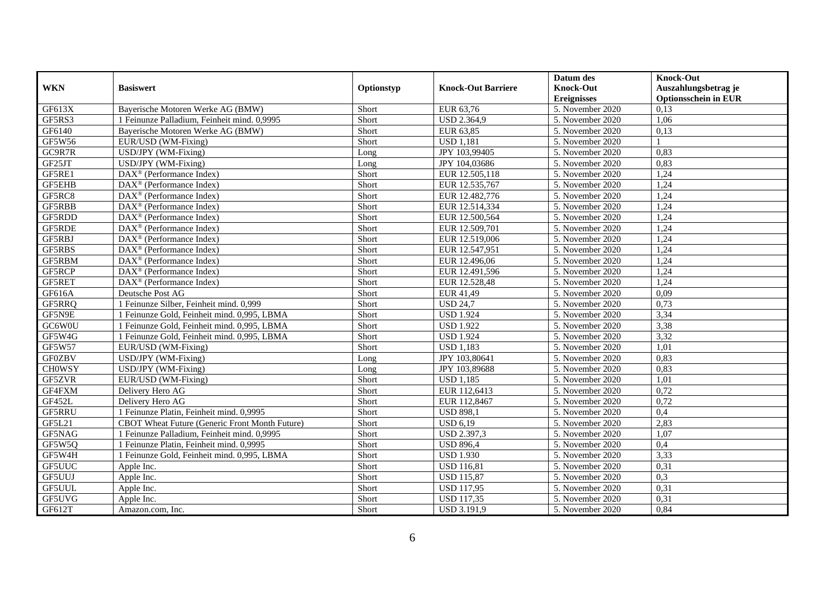|                     |                                                |            |                           | Datum des          | <b>Knock-Out</b>            |
|---------------------|------------------------------------------------|------------|---------------------------|--------------------|-----------------------------|
| <b>WKN</b>          | <b>Basiswert</b>                               | Optionstyp | <b>Knock-Out Barriere</b> | <b>Knock-Out</b>   | Auszahlungsbetrag je        |
|                     |                                                |            |                           | <b>Ereignisses</b> | <b>Optionsschein in EUR</b> |
| GF613X              | Bayerische Motoren Werke AG (BMW)              | Short      | EUR 63,76                 | 5. November 2020   | 0,13                        |
| GF5RS3              | 1 Feinunze Palladium, Feinheit mind. 0,9995    | Short      | <b>USD 2.364,9</b>        | 5. November 2020   | 1,06                        |
| GF6140              | Bayerische Motoren Werke AG (BMW)              | Short      | EUR 63,85                 | 5. November 2020   | 0,13                        |
| GF5W56              | EUR/USD (WM-Fixing)                            | Short      | <b>USD 1.181</b>          | 5. November 2020   |                             |
| GC9R7R              | USD/JPY (WM-Fixing)                            | Long       | JPY 103,99405             | 5. November 2020   | 0,83                        |
| GF25JT              | USD/JPY (WM-Fixing)                            | Long       | JPY 104,03686             | 5. November 2020   | 0,83                        |
| GF5RE1              | DAX <sup>®</sup> (Performance Index)           | Short      | EUR 12.505,118            | 5. November 2020   | 1,24                        |
| GF5EHB              | $\text{DAX}^{\otimes}$ (Performance Index)     | Short      | EUR 12.535,767            | 5. November 2020   | 1,24                        |
| GF5RC8              | $\text{DAX}^{\otimes}$ (Performance Index)     | Short      | EUR 12.482,776            | 5. November 2020   | 1,24                        |
| GF5RBB              | $\text{DAX}^{\circledast}$ (Performance Index) | Short      | EUR 12.514,334            | 5. November 2020   | 1,24                        |
| GF5RDD              | $DAX^{\circledR}$ (Performance Index)          | Short      | EUR 12.500,564            | 5. November 2020   | 1,24                        |
| GF5RDE              | DAX <sup>®</sup> (Performance Index)           | Short      | EUR 12.509,701            | 5. November 2020   | 1,24                        |
| GF5RBJ              | $\text{DAX}^{\circledast}$ (Performance Index) | Short      | EUR 12.519,006            | 5. November 2020   | 1,24                        |
| GF5RBS              | $DAX^{\circledR}$ (Performance Index)          | Short      | EUR 12.547,951            | 5. November 2020   | 1,24                        |
| GF5RBM              | $\text{DAX}^{\otimes}$ (Performance Index)     | Short      | EUR 12.496,06             | 5. November 2020   | 1,24                        |
| GF5RCP              | $\text{DAX}^{\otimes}$ (Performance Index)     | Short      | EUR 12.491,596            | 5. November 2020   | 1,24                        |
| GF5RET              | DAX <sup>®</sup> (Performance Index)           | Short      | EUR 12.528,48             | 5. November 2020   | 1,24                        |
| GF616A              | Deutsche Post AG                               | Short      | EUR 41.49                 | 5. November 2020   | 0.09                        |
| GF5RRQ              | 1 Feinunze Silber, Feinheit mind. 0,999        | Short      | <b>USD 24,7</b>           | 5. November 2020   | 0,73                        |
| GF5N9E              | 1 Feinunze Gold, Feinheit mind. 0,995, LBMA    | Short      | <b>USD 1.924</b>          | 5. November 2020   | 3,34                        |
| GC6W0U              | 1 Feinunze Gold, Feinheit mind. 0,995, LBMA    | Short      | <b>USD 1.922</b>          | 5. November 2020   | 3,38                        |
| GF5W4G              | 1 Feinunze Gold, Feinheit mind. 0,995, LBMA    | Short      | <b>USD 1.924</b>          | 5. November 2020   | 3,32                        |
| GF5W57              | EUR/USD (WM-Fixing)                            | Short      | <b>USD 1,183</b>          | 5. November 2020   | 1,01                        |
| <b>GF0ZBV</b>       | USD/JPY (WM-Fixing)                            | Long       | JPY 103,80641             | 5. November 2020   | 0,83                        |
| <b>CHOWSY</b>       | USD/JPY (WM-Fixing)                            | Long       | JPY 103.89688             | 5. November 2020   | 0.83                        |
| GF5ZVR              | EUR/USD (WM-Fixing)                            | Short      | <b>USD 1,185</b>          | 5. November 2020   | 1,01                        |
| GF4FXM              | Delivery Hero AG                               | Short      | EUR 112,6413              | 5. November 2020   | 0,72                        |
| GF452L              | Delivery Hero AG                               | Short      | EUR 112,8467              | 5. November 2020   | 0,72                        |
| <b>GF5RRU</b>       | 1 Feinunze Platin, Feinheit mind. 0,9995       | Short      | <b>USD 898,1</b>          | 5. November 2020   | 0,4                         |
| GF5L21              | CBOT Wheat Future (Generic Front Month Future) | Short      | <b>USD 6,19</b>           | 5. November 2020   | 2,83                        |
| GF5NAG              | 1 Feinunze Palladium, Feinheit mind. 0,9995    | Short      | USD 2.397,3               | 5. November 2020   | 1,07                        |
| GF5W5Q              | 1 Feinunze Platin, Feinheit mind. 0,9995       | Short      | <b>USD 896,4</b>          | 5. November 2020   | 0,4                         |
| $GF5\overline{W4H}$ | 1 Feinunze Gold, Feinheit mind. 0,995, LBMA    | Short      | <b>USD 1.930</b>          | 5. November 2020   | 3,33                        |
| GF5UUC              | Apple Inc.                                     | Short      | <b>USD</b> 116,81         | 5. November 2020   | 0,31                        |
| GF5UUJ              | Apple Inc.                                     | Short      | <b>USD 115,87</b>         | 5. November 2020   | 0,3                         |
| GF5UUL              | Apple Inc.                                     | Short      | <b>USD 117,95</b>         | 5. November 2020   | 0,31                        |
| GF5UVG              | Apple Inc.                                     | Short      | <b>USD 117,35</b>         | 5. November 2020   | 0,31                        |
| GF612T              | Amazon.com, Inc.                               | Short      | <b>USD 3.191,9</b>        | 5. November 2020   | 0,84                        |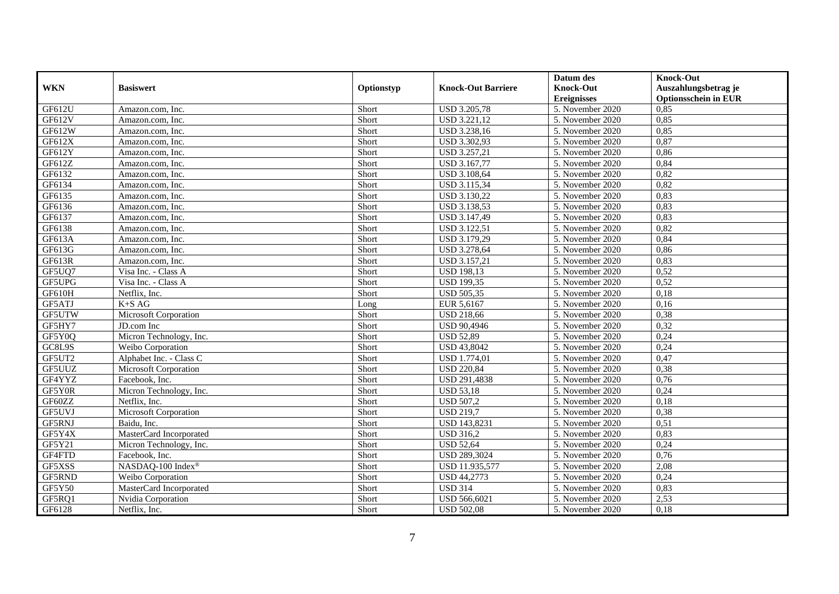|            |                         |            |                           | Datum des                      | <b>Knock-Out</b>            |
|------------|-------------------------|------------|---------------------------|--------------------------------|-----------------------------|
| <b>WKN</b> | <b>Basiswert</b>        | Optionstyp | <b>Knock-Out Barriere</b> | <b>Knock-Out</b>               | Auszahlungsbetrag je        |
|            |                         |            |                           | <b>Ereignisses</b>             | <b>Optionsschein in EUR</b> |
| GF612U     | Amazon.com. Inc.        | Short      | <b>USD 3.205,78</b>       | 5. November 2020               | 0,85                        |
| GF612V     | Amazon.com. Inc.        | Short      | <b>USD 3.221,12</b>       | 5. November 2020               | 0,85                        |
| GF612W     | Amazon.com, Inc.        | Short      | USD 3.238,16              | 5. November 2020               | 0,85                        |
| GF612X     | Amazon.com, Inc.        | Short      | USD 3.302,93              | 5. November 2020               | 0,87                        |
| GF612Y     | Amazon.com, Inc.        | Short      | USD 3.257,21              | 5. November 2020               | 0,86                        |
| GF612Z     | Amazon.com, Inc.        | Short      | USD 3.167,77              | 5. November 2020               | 0,84                        |
| GF6132     | Amazon.com, Inc.        | Short      | <b>USD 3.108,64</b>       | 5. November 2020               | 0,82                        |
| GF6134     | Amazon.com, Inc.        | Short      | <b>USD 3.115,34</b>       | 5. November 2020               | 0,82                        |
| GF6135     | Amazon.com, Inc.        | Short      | USD 3.130,22              | 5. November 2020               | 0,83                        |
| GF6136     | Amazon.com, Inc.        | Short      | USD 3.138,53              | 5. November 2020               | 0,83                        |
| GF6137     | Amazon.com, Inc.        | Short      | USD 3.147,49              | 5. November 2020               | 0,83                        |
| GF6138     | Amazon.com. Inc.        | Short      | <b>USD 3.122,51</b>       | 5. November 2020               | 0,82                        |
| GF613A     | Amazon.com. Inc.        | Short      | <b>USD 3.179,29</b>       | 5. November 2020               | 0,84                        |
| GF613G     | Amazon.com, Inc.        | Short      | <b>USD 3.278,64</b>       | 5. November 2020               | 0,86                        |
| GF613R     | Amazon.com, Inc.        | Short      | <b>USD 3.157,21</b>       | 5. November 2020               | 0,83                        |
| GF5UQ7     | Visa Inc. - Class A     | Short      | <b>USD 198,13</b>         | 5. November 2020               | 0,52                        |
| GF5UPG     | Visa Inc. - Class A     | Short      | <b>USD 199,35</b>         | 5. November 2020               | 0,52                        |
| GF610H     | Netflix, Inc.           | Short      | <b>USD 505,35</b>         | $\overline{5}$ . November 2020 | 0,18                        |
| GF5ATJ     | $K+SAG$                 | Long       | EUR 5,6167                | 5. November 2020               | 0,16                        |
| GF5UTW     | Microsoft Corporation   | Short      | <b>USD 218,66</b>         | 5. November 2020               | 0,38                        |
| GF5HY7     | JD.com Inc              | Short      | <b>USD 90,4946</b>        | 5. November 2020               | 0,32                        |
| GF5Y0Q     | Micron Technology, Inc. | Short      | <b>USD 52,89</b>          | 5. November 2020               | 0,24                        |
| GC8L9S     | Weibo Corporation       | Short      | <b>USD 43,8042</b>        | 5. November 2020               | 0,24                        |
| GF5UT2     | Alphabet Inc. - Class C | Short      | <b>USD 1.774,01</b>       | 5. November 2020               | 0,47                        |
| GF5UUZ     | Microsoft Corporation   | Short      | <b>USD 220,84</b>         | 5. November 2020               | 0,38                        |
| GF4YYZ     | Facebook, Inc.          | Short      | USD 291,4838              | 5. November 2020               | 0,76                        |
| GF5Y0R     | Micron Technology, Inc. | Short      | <b>USD 53,18</b>          | 5. November 2020               | 0,24                        |
| GF60ZZ     | Netflix. Inc.           | Short      | <b>USD 507.2</b>          | 5. November 2020               | 0,18                        |
| GF5UVJ     | Microsoft Corporation   | Short      | <b>USD 219.7</b>          | 5. November 2020               | 0,38                        |
| GF5RNJ     | Baidu, Inc.             | Short      | USD 143,8231              | 5. November 2020               | 0,51                        |
| GF5Y4X     | MasterCard Incorporated | Short      | <b>USD 316,2</b>          | 5. November 2020               | 0,83                        |
| GF5Y21     | Micron Technology, Inc. | Short      | <b>USD 52,64</b>          | 5. November 2020               | 0,24                        |
| GF4FTD     | Facebook, Inc.          | Short      | <b>USD 289,3024</b>       | 5. November 2020               | 0,76                        |
| GF5XSS     | NASDAQ-100 Index®       | Short      | USD 11.935,577            | 5. November 2020               | 2,08                        |
| GF5RND     | Weibo Corporation       | Short      | <b>USD 44,2773</b>        | 5. November 2020               | 0,24                        |
| GF5Y50     | MasterCard Incorporated | Short      | <b>USD 314</b>            | 5. November 2020               | 0,83                        |
| GF5RQ1     | Nvidia Corporation      | Short      | USD 566,6021              | 5. November 2020               | 2,53                        |
| GF6128     | Netflix, Inc.           | Short      | <b>USD 502,08</b>         | 5. November 2020               | 0,18                        |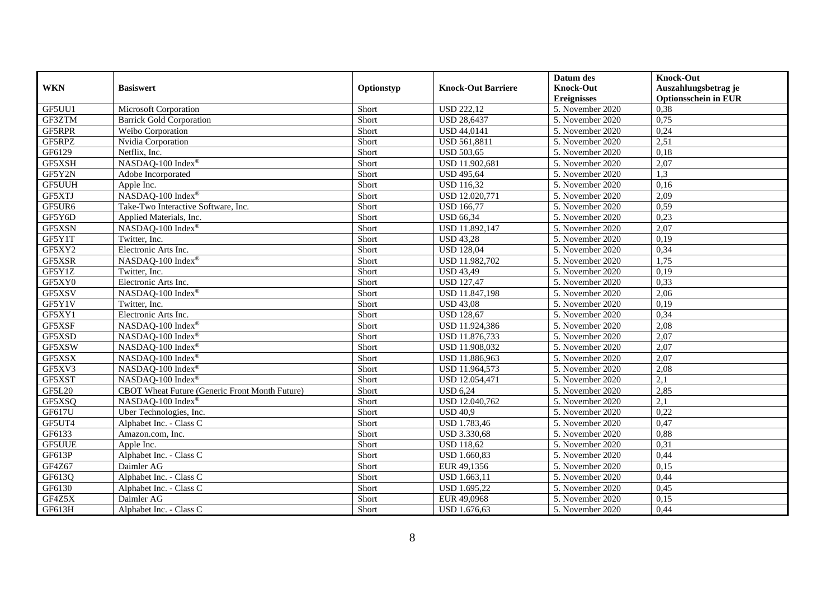|               |                                                |            |                               | Datum des          | <b>Knock-Out</b>            |
|---------------|------------------------------------------------|------------|-------------------------------|--------------------|-----------------------------|
| <b>WKN</b>    | <b>Basiswert</b>                               | Optionstyp | <b>Knock-Out Barriere</b>     | <b>Knock-Out</b>   | Auszahlungsbetrag je        |
|               |                                                |            |                               | <b>Ereignisses</b> | <b>Optionsschein in EUR</b> |
| GF5UU1        | Microsoft Corporation                          | Short      | <b>USD 222,12</b>             | 5. November 2020   | 0,38                        |
| GF3ZTM        | <b>Barrick Gold Corporation</b>                | Short      | <b>USD 28,6437</b>            | 5. November 2020   | 0,75                        |
| GF5RPR        | Weibo Corporation                              | Short      | <b>USD 44,0141</b>            | 5. November 2020   | 0,24                        |
| GF5RPZ        | Nvidia Corporation                             | Short      | USD 561,8811                  | 5. November 2020   | 2,51                        |
| GF6129        | Netflix, Inc.                                  | Short      | <b>USD 503,65</b>             | 5. November 2020   | 0,18                        |
| GF5XSH        | NASDAQ-100 Index®                              | Short      | USD 11.902,681                | 5. November 2020   | 2,07                        |
| GF5Y2N        | Adobe Incorporated                             | Short      | <b>USD 495,64</b>             | 5. November 2020   | 1,3                         |
| GF5UUH        | Apple Inc.                                     | Short      | <b>USD 116,32</b>             | 5. November 2020   | 0,16                        |
| GF5XTJ        | NASDAQ-100 Index®                              | Short      | USD 12.020,771                | 5. November 2020   | 2,09                        |
| GF5UR6        | Take-Two Interactive Software, Inc.            | Short      | <b>USD 166,77</b>             | 5. November 2020   | 0,59                        |
| GF5Y6D        | Applied Materials, Inc.                        | Short      | USD $66,34$                   | 5. November 2020   | 0,23                        |
| GF5XSN        | NASDAQ-100 Index®                              | Short      | USD 11.892,147                | 5. November 2020   | 2,07                        |
| GF5Y1T        | Twitter, Inc.                                  | Short      | $\overline{\text{USD}}$ 43,28 | 5. November 2020   | 0,19                        |
| GF5XY2        | Electronic Arts Inc.                           | Short      | <b>USD 128,04</b>             | 5. November 2020   | 0,34                        |
| GF5XSR        | NASDAQ-100 Index®                              | Short      | USD 11.982,702                | 5. November 2020   | 1,75                        |
| GF5Y1Z        | Twitter, Inc.                                  | Short      | <b>USD 43,49</b>              | 5. November 2020   | 0,19                        |
| GF5XY0        | Electronic Arts Inc.                           | Short      | <b>USD 127,47</b>             | 5. November 2020   | 0,33                        |
| GF5XSV        | NASDAQ-100 Index®                              | Short      | USD 11.847,198                | 5. November 2020   | 2,06                        |
| GF5Y1V        | Twitter, Inc.                                  | Short      | <b>USD 43,08</b>              | 5. November 2020   | 0,19                        |
| GF5XY1        | Electronic Arts Inc.                           | Short      | <b>USD 128,67</b>             | 5. November 2020   | 0,34                        |
| GF5XSF        | NASDAQ-100 Index®                              | Short      | USD 11.924,386                | 5. November 2020   | 2,08                        |
| GF5XSD        | NASDAQ-100 Index®                              | Short      | USD 11.876,733                | 5. November 2020   | 2,07                        |
| GF5XSW        | NASDAQ-100 Index®                              | Short      | USD 11.908,032                | 5. November 2020   | 2,07                        |
| GF5XSX        | NASDAQ-100 Index®                              | Short      | USD 11.886,963                | 5. November 2020   | 2,07                        |
| GF5XV3        | NASDAQ-100 Index®                              | Short      | USD 11.964,573                | 5. November 2020   | 2,08                        |
| GF5XST        | NASDAQ-100 Index®                              | Short      | USD 12.054,471                | 5. November 2020   | $\overline{2,1}$            |
| <b>GF5L20</b> | CBOT Wheat Future (Generic Front Month Future) | Short      | <b>USD 6,24</b>               | 5. November 2020   | 2,85                        |
| GF5XSQ        | NASDAQ-100 Index®                              | Short      | USD 12.040,762                | 5. November 2020   | $\overline{2,1}$            |
| GF617U        | Uber Technologies, Inc.                        | Short      | <b>USD 40.9</b>               | 5. November 2020   | 0,22                        |
| GF5UT4        | Alphabet Inc. - Class C                        | Short      | <b>USD 1.783,46</b>           | 5. November 2020   | 0,47                        |
| GF6133        | Amazon.com, Inc.                               | Short      | USD 3.330,68                  | 5. November 2020   | 0,88                        |
| GF5UUE        | Apple Inc.                                     | Short      | <b>USD 118,62</b>             | 5. November 2020   | 0,31                        |
| GF613P        | Alphabet Inc. - Class C                        | Short      | <b>USD 1.660,83</b>           | 5. November 2020   | 0,44                        |
| GF4Z67        | Daimler AG                                     | Short      | EUR 49,1356                   | 5. November 2020   | 0,15                        |
| GF613Q        | Alphabet Inc. - Class C                        | Short      | USD 1.663,11                  | 5. November 2020   | 0,44                        |
| GF6130        | Alphabet Inc. - Class C                        | Short      | USD 1.695,22                  | 5. November 2020   | 0,45                        |
| GF4Z5X        | Daimler AG                                     | Short      | EUR 49,0968                   | 5. November 2020   | 0,15                        |
| GF613H        | Alphabet Inc. - Class C                        | Short      | USD 1.676,63                  | 5. November 2020   | 0,44                        |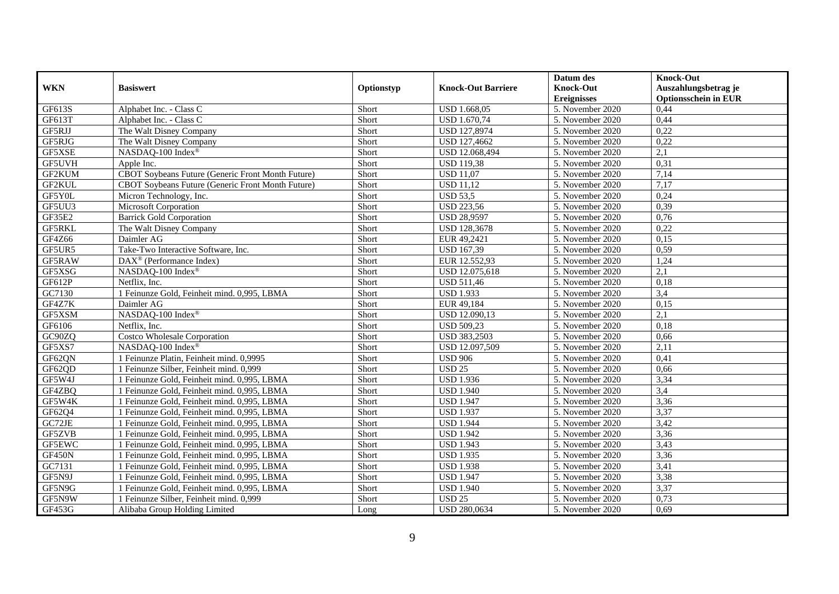|            |                                                   |            |                           | Datum des          | <b>Knock-Out</b>            |
|------------|---------------------------------------------------|------------|---------------------------|--------------------|-----------------------------|
| <b>WKN</b> | <b>Basiswert</b>                                  | Optionstyp | <b>Knock-Out Barriere</b> | <b>Knock-Out</b>   | Auszahlungsbetrag je        |
|            |                                                   |            |                           | <b>Ereignisses</b> | <b>Optionsschein in EUR</b> |
| GF613S     | Alphabet Inc. - Class C                           | Short      | <b>USD 1.668,05</b>       | 5. November 2020   | 0,44                        |
| GF613T     | Alphabet Inc. - Class C                           | Short      | <b>USD 1.670,74</b>       | 5. November 2020   | 0,44                        |
| GF5RJJ     | The Walt Disney Company                           | Short      | USD 127,8974              | 5. November 2020   | 0,22                        |
| GF5RJG     | The Walt Disney Company                           | Short      | USD 127,4662              | 5. November 2020   | 0,22                        |
| GF5XSE     | NASDAQ-100 Index®                                 | Short      | USD 12.068,494            | 5. November 2020   | 2,1                         |
| GF5UVH     | Apple Inc.                                        | Short      | <b>USD 119,38</b>         | 5. November 2020   | 0,31                        |
| GF2KUM     | CBOT Soybeans Future (Generic Front Month Future) | Short      | <b>USD 11,07</b>          | 5. November 2020   | 7,14                        |
| GF2KUL     | CBOT Soybeans Future (Generic Front Month Future) | Short      | <b>USD 11,12</b>          | 5. November 2020   | 7,17                        |
| GF5Y0L     | Micron Technology, Inc.                           | Short      | $\overline{$ USD 53,5     | 5. November 2020   | 0,24                        |
| GF5UU3     | Microsoft Corporation                             | Short      | <b>USD 223,56</b>         | 5. November 2020   | 0,39                        |
| GF35E2     | <b>Barrick Gold Corporation</b>                   | Short      | <b>USD 28,9597</b>        | 5. November 2020   | 0,76                        |
| GF5RKL     | The Walt Disney Company                           | Short      | <b>USD 128,3678</b>       | 5. November 2020   | 0,22                        |
| GF4Z66     | Daimler AG                                        | Short      | EUR 49,2421               | 5. November 2020   | 0,15                        |
| GF5UR5     | Take-Two Interactive Software, Inc.               | Short      | <b>USD 167,39</b>         | 5. November 2020   | 0,59                        |
| GF5RAW     | $\text{DAX}^{\textcircled{}}$ (Performance Index) | Short      | EUR 12.552,93             | 5. November 2020   | 1,24                        |
| GF5XSG     | NASDAQ-100 Index®                                 | Short      | USD 12.075,618            | 5. November 2020   | $\overline{2,1}$            |
| GF612P     | Netflix, Inc.                                     | Short      | <b>USD 511,46</b>         | 5. November 2020   | 0,18                        |
| GC7130     | 1 Feinunze Gold, Feinheit mind. 0,995, LBMA       | Short      | <b>USD 1.933</b>          | 5. November 2020   | 3,4                         |
| GF4Z7K     | Daimler AG                                        | Short      | EUR 49,184                | 5. November 2020   | 0,15                        |
| GF5XSM     | NASDAQ-100 Index®                                 | Short      | USD 12.090,13             | 5. November 2020   | 2,1                         |
| GF6106     | Netflix, Inc.                                     | Short      | <b>USD 509,23</b>         | 5. November 2020   | 0,18                        |
| GC90ZQ     | Costco Wholesale Corporation                      | Short      | USD 383,2503              | 5. November 2020   | 0,66                        |
| GF5XS7     | NASDAQ-100 Index®                                 | Short      | USD 12.097,509            | 5. November 2020   | 2,11                        |
| GF62QN     | 1 Feinunze Platin, Feinheit mind. 0,9995          | Short      | <b>USD 906</b>            | 5. November 2020   | 0,41                        |
| GF62QD     | 1 Feinunze Silber, Feinheit mind. 0.999           | Short      | <b>USD 25</b>             | 5. November 2020   | 0.66                        |
| GF5W4J     | 1 Feinunze Gold, Feinheit mind. 0,995, LBMA       | Short      | <b>USD 1.936</b>          | 5. November 2020   | 3,34                        |
| GF4ZBQ     | 1 Feinunze Gold, Feinheit mind. 0,995, LBMA       | Short      | <b>USD 1.940</b>          | 5. November 2020   | 3,4                         |
| GF5W4K     | 1 Feinunze Gold, Feinheit mind. 0,995, LBMA       | Short      | <b>USD 1.947</b>          | 5. November 2020   | 3,36                        |
| GF62Q4     | 1 Feinunze Gold, Feinheit mind. 0,995, LBMA       | Short      | <b>USD 1.937</b>          | 5. November 2020   | 3,37                        |
| GC72JE     | 1 Feinunze Gold, Feinheit mind. 0,995, LBMA       | Short      | <b>USD 1.944</b>          | 5. November 2020   | 3,42                        |
| GF5ZVB     | 1 Feinunze Gold, Feinheit mind. 0,995, LBMA       | Short      | <b>USD 1.942</b>          | 5. November 2020   | 3,36                        |
| GF5EWC     | 1 Feinunze Gold, Feinheit mind. 0,995, LBMA       | Short      | <b>USD 1.943</b>          | 5. November 2020   | 3,43                        |
| GF450N     | 1 Feinunze Gold, Feinheit mind. 0,995, LBMA       | Short      | <b>USD 1.935</b>          | 5. November 2020   | 3,36                        |
| GC7131     | 1 Feinunze Gold, Feinheit mind. 0,995, LBMA       | Short      | <b>USD 1.938</b>          | 5. November 2020   | 3,41                        |
| GF5N9J     | 1 Feinunze Gold, Feinheit mind. 0,995, LBMA       | Short      | <b>USD 1.947</b>          | 5. November 2020   | 3,38                        |
| GF5N9G     | 1 Feinunze Gold, Feinheit mind. 0,995, LBMA       | Short      | <b>USD 1.940</b>          | 5. November 2020   | 3,37                        |
| GF5N9W     | 1 Feinunze Silber, Feinheit mind. 0,999           | Short      | <b>USD 25</b>             | 5. November 2020   | 0,73                        |
| GF453G     | Alibaba Group Holding Limited                     | Long       | <b>USD 280,0634</b>       | 5. November 2020   | 0,69                        |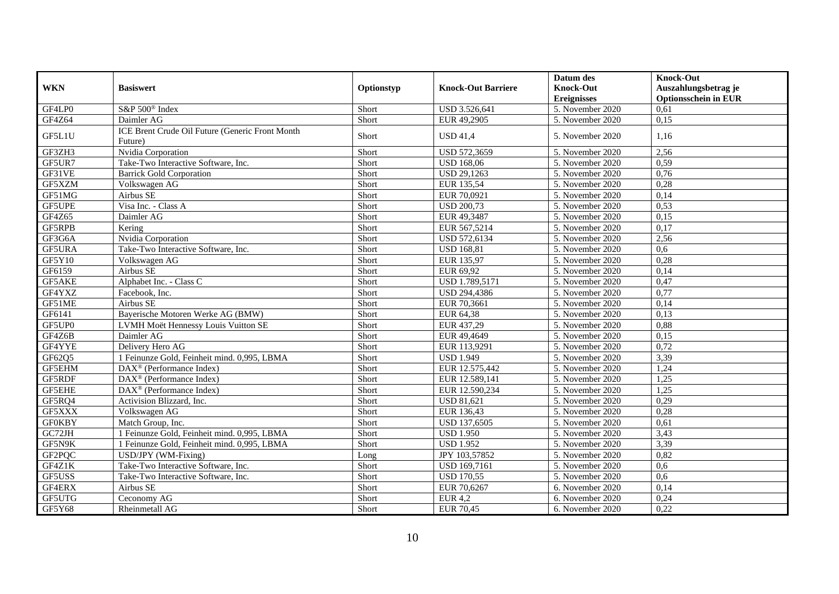|               |                                                            |            |                           | Datum des          | <b>Knock-Out</b>            |
|---------------|------------------------------------------------------------|------------|---------------------------|--------------------|-----------------------------|
| <b>WKN</b>    | <b>Basiswert</b>                                           | Optionstyp | <b>Knock-Out Barriere</b> | <b>Knock-Out</b>   | Auszahlungsbetrag je        |
|               |                                                            |            |                           | <b>Ereignisses</b> | <b>Optionsschein in EUR</b> |
| GF4LP0        | S&P 500 <sup>®</sup> Index                                 | Short      | USD 3.526,641             | 5. November 2020   | 0,61                        |
| GF4Z64        | Daimler AG                                                 | Short      | EUR 49,2905               | 5. November 2020   | 0,15                        |
| GF5L1U        | ICE Brent Crude Oil Future (Generic Front Month<br>Future) | Short      | <b>USD 41,4</b>           | 5. November 2020   | 1,16                        |
| GF3ZH3        | Nvidia Corporation                                         | Short      | USD 572,3659              | 5. November 2020   | 2,56                        |
| GF5UR7        | Take-Two Interactive Software, Inc.                        | Short      | <b>USD 168,06</b>         | 5. November 2020   | 0.59                        |
| GF31VE        | <b>Barrick Gold Corporation</b>                            | Short      | <b>USD 29,1263</b>        | 5. November 2020   | 0,76                        |
| GF5XZM        | Volkswagen AG                                              | Short      | EUR 135,54                | 5. November 2020   | 0,28                        |
| GF51MG        | Airbus SE                                                  | Short      | EUR 70,0921               | 5. November 2020   | 0,14                        |
| GF5UPE        | Visa Inc. - Class A                                        | Short      | <b>USD 200,73</b>         | 5. November 2020   | 0,53                        |
| GF4Z65        | Daimler AG                                                 | Short      | EUR 49,3487               | 5. November 2020   | 0,15                        |
| GF5RPB        | Kering                                                     | Short      | EUR 567,5214              | 5. November 2020   | 0,17                        |
| GF3G6A        | Nvidia Corporation                                         | Short      | USD 572,6134              | 5. November 2020   | 2,56                        |
| GF5URA        | Take-Two Interactive Software, Inc.                        | Short      | <b>USD 168,81</b>         | 5. November 2020   | 0.6                         |
| GF5Y10        | Volkswagen AG                                              | Short      | EUR 135,97                | 5. November 2020   | 0,28                        |
| GF6159        | Airbus SE                                                  | Short      | EUR 69,92                 | 5. November 2020   | 0,14                        |
| GF5AKE        | Alphabet Inc. - Class C                                    | Short      | USD 1.789,5171            | 5. November 2020   | 0,47                        |
| GF4YXZ        | Facebook, Inc.                                             | Short      | <b>USD 294,4386</b>       | 5. November 2020   | 0,77                        |
| GF51ME        | Airbus SE                                                  | Short      | EUR 70,3661               | 5. November 2020   | 0,14                        |
| GF6141        | Bayerische Motoren Werke AG (BMW)                          | Short      | EUR 64,38                 | 5. November 2020   | 0,13                        |
| GF5UP0        | LVMH Moët Hennessy Louis Vuitton SE                        | Short      | EUR 437,29                | 5. November 2020   | 0,88                        |
| GF4Z6B        | Daimler AG                                                 | Short      | EUR 49,4649               | 5. November 2020   | 0,15                        |
| GF4YYE        | Delivery Hero AG                                           | Short      | EUR 113,9291              | 5. November 2020   | 0,72                        |
| GF62Q5        | 1 Feinunze Gold, Feinheit mind. 0,995, LBMA                | Short      | <b>USD 1.949</b>          | 5. November 2020   | 3,39                        |
| GF5EHM        | $\text{DAX}^{\textcircled{}}$ (Performance Index)          | Short      | EUR 12.575,442            | 5. November 2020   | 1,24                        |
| GF5RDF        | $\text{DAX}^{\textcircled{}}$ (Performance Index)          | Short      | EUR 12.589,141            | 5. November 2020   | 1,25                        |
| <b>GF5EHE</b> | $\text{DAX}^{\textcircled{p}}$ (Performance Index)         | Short      | EUR 12.590,234            | 5. November 2020   | 1,25                        |
| GF5RQ4        | Activision Blizzard, Inc.                                  | Short      | <b>USD 81,621</b>         | 5. November 2020   | 0,29                        |
| GF5XXX        | Volkswagen AG                                              | Short      | EUR 136,43                | 5. November 2020   | 0,28                        |
| <b>GF0KBY</b> | Match Group, Inc.                                          | Short      | USD 137,6505              | 5. November 2020   | 0,61                        |
| GC72JH        | 1 Feinunze Gold, Feinheit mind. 0,995, LBMA                | Short      | <b>USD 1.950</b>          | 5. November 2020   | 3,43                        |
| GF5N9K        | 1 Feinunze Gold, Feinheit mind. 0,995, LBMA                | Short      | <b>USD 1.952</b>          | 5. November 2020   | 3,39                        |
| GF2PQC        | USD/JPY (WM-Fixing)                                        | Long       | JPY 103,57852             | 5. November 2020   | 0,82                        |
| GF4Z1K        | Take-Two Interactive Software, Inc.                        | Short      | USD 169,7161              | 5. November 2020   | 0.6                         |
| GF5USS        | Take-Two Interactive Software, Inc.                        | Short      | <b>USD 170,55</b>         | 5. November 2020   | 0,6                         |
| GF4ERX        | Airbus SE                                                  | Short      | EUR 70,6267               | 6. November 2020   | 0,14                        |
| GF5UTG        | Ceconomy AG                                                | Short      | <b>EUR 4,2</b>            | 6. November 2020   | 0,24                        |
| GF5Y68        | Rheinmetall AG                                             | Short      | <b>EUR 70,45</b>          | 6. November 2020   | 0,22                        |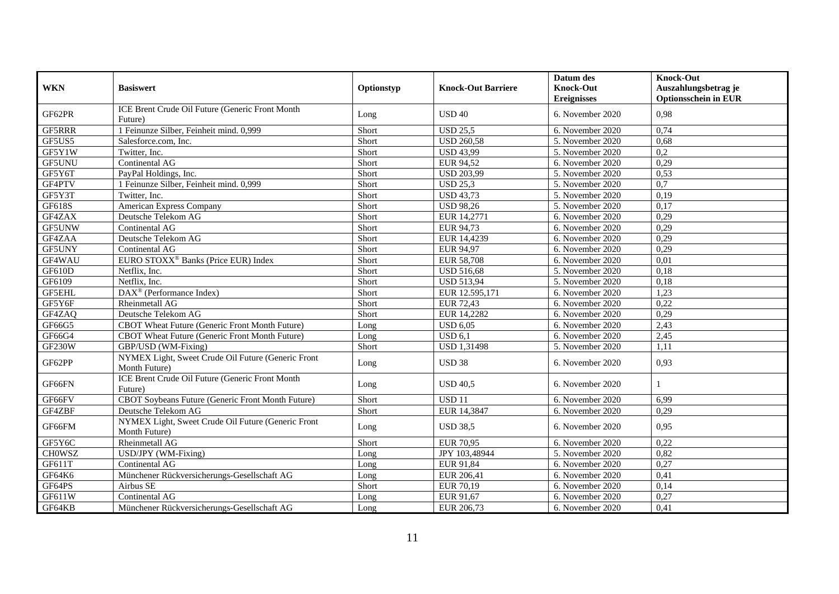|               |                                                                     |            |                           | Datum des          | <b>Knock-Out</b>            |
|---------------|---------------------------------------------------------------------|------------|---------------------------|--------------------|-----------------------------|
| <b>WKN</b>    | <b>Basiswert</b>                                                    | Optionstyp | <b>Knock-Out Barriere</b> | <b>Knock-Out</b>   | Auszahlungsbetrag je        |
|               | ICE Brent Crude Oil Future (Generic Front Month                     |            |                           | <b>Ereignisses</b> | <b>Optionsschein in EUR</b> |
| GF62PR        | Future)                                                             | Long       | <b>USD 40</b>             | 6. November 2020   | 0.98                        |
| GF5RRR        | 1 Feinunze Silber, Feinheit mind. 0,999                             | Short      | <b>USD 25,5</b>           | 6. November 2020   | 0,74                        |
| GF5US5        | Salesforce.com, Inc.                                                | Short      | <b>USD 260,58</b>         | 5. November 2020   | 0,68                        |
| GF5Y1W        | Twitter, Inc.                                                       | Short      | <b>USD 43,99</b>          | 5. November 2020   | 0,2                         |
| GF5UNU        | Continental AG                                                      | Short      | EUR 94,52                 | 6. November 2020   | 0,29                        |
| GF5Y6T        | PayPal Holdings, Inc.                                               | Short      | <b>USD 203.99</b>         | 5. November 2020   | 0,53                        |
| GF4PTV        | 1 Feinunze Silber, Feinheit mind. 0,999                             | Short      | <b>USD 25,3</b>           | 5. November 2020   | $\overline{0,7}$            |
| GF5Y3T        | Twitter, Inc.                                                       | Short      | <b>USD 43,73</b>          | 5. November 2020   | 0,19                        |
| GF618S        | American Express Company                                            | Short      | <b>USD 98,26</b>          | 5. November 2020   | 0,17                        |
| GF4ZAX        | Deutsche Telekom AG                                                 | Short      | EUR 14,2771               | 6. November 2020   | 0,29                        |
| GF5UNW        | Continental AG                                                      | Short      | EUR 94,73                 | 6. November 2020   | 0,29                        |
| GF4ZAA        | Deutsche Telekom AG                                                 | Short      | EUR 14,4239               | 6. November 2020   | 0.29                        |
| GF5UNY        | Continental AG                                                      | Short      | EUR 94,97                 | 6. November 2020   | 0,29                        |
| GF4WAU        | EURO STOXX <sup>®</sup> Banks (Price EUR) Index                     | Short      | <b>EUR 58,708</b>         | 6. November 2020   | 0,01                        |
| <b>GF610D</b> | Netflix, Inc.                                                       | Short      | <b>USD 516,68</b>         | 5. November 2020   | 0,18                        |
| GF6109        | Netflix, Inc.                                                       | Short      | <b>USD 513,94</b>         | 5. November 2020   | 0,18                        |
| <b>GF5EHL</b> | DAX <sup>®</sup> (Performance Index)                                | Short      | EUR 12.595,171            | 6. November 2020   | 1,23                        |
| GF5Y6F        | <b>Rheinmetall AG</b>                                               | Short      | EUR 72,43                 | 6. November 2020   | 0,22                        |
| GF4ZAQ        | Deutsche Telekom AG                                                 | Short      | EUR 14,2282               | 6. November 2020   | 0,29                        |
| GF66G5        | CBOT Wheat Future (Generic Front Month Future)                      | Long       | <b>USD 6,05</b>           | 6. November 2020   | 2,43                        |
| GF66G4        | CBOT Wheat Future (Generic Front Month Future)                      | Long       | USD 6,1                   | 6. November 2020   | 2,45                        |
| <b>GF230W</b> | GBP/USD (WM-Fixing)                                                 | Short      | <b>USD 1,31498</b>        | 5. November 2020   | 1,11                        |
| GF62PP        | NYMEX Light, Sweet Crude Oil Future (Generic Front<br>Month Future) | Long       | <b>USD 38</b>             | 6. November 2020   | 0,93                        |
| GF66FN        | ICE Brent Crude Oil Future (Generic Front Month<br>Future)          | Long       | <b>USD 40,5</b>           | 6. November 2020   |                             |
| GF66FV        | CBOT Soybeans Future (Generic Front Month Future)                   | Short      | <b>USD 11</b>             | 6. November 2020   | 6,99                        |
| GF4ZBF        | Deutsche Telekom AG                                                 | Short      | EUR 14,3847               | 6. November 2020   | 0,29                        |
| GF66FM        | NYMEX Light, Sweet Crude Oil Future (Generic Front<br>Month Future) | Long       | <b>USD 38,5</b>           | 6. November 2020   | 0,95                        |
| GF5Y6C        | Rheinmetall AG                                                      | Short      | <b>EUR 70.95</b>          | 6. November 2020   | 0.22                        |
| <b>CHOWSZ</b> | USD/JPY (WM-Fixing)                                                 | Long       | JPY 103,48944             | 5. November 2020   | 0,82                        |
| GF611T        | Continental AG                                                      | Long       | EUR 91,84                 | 6. November 2020   | 0,27                        |
| GF64K6        | Münchener Rückversicherungs-Gesellschaft AG                         | Long       | EUR 206,41                | 6. November 2020   | 0,41                        |
| GF64PS        | Airbus SE                                                           | Short      | EUR 70,19                 | 6. November 2020   | 0,14                        |
| GF611W        | Continental AG                                                      | Long       | EUR 91,67                 | 6. November 2020   | 0,27                        |
| GF64KB        | Münchener Rückversicherungs-Gesellschaft AG                         | Long       | EUR 206,73                | 6. November 2020   | 0,41                        |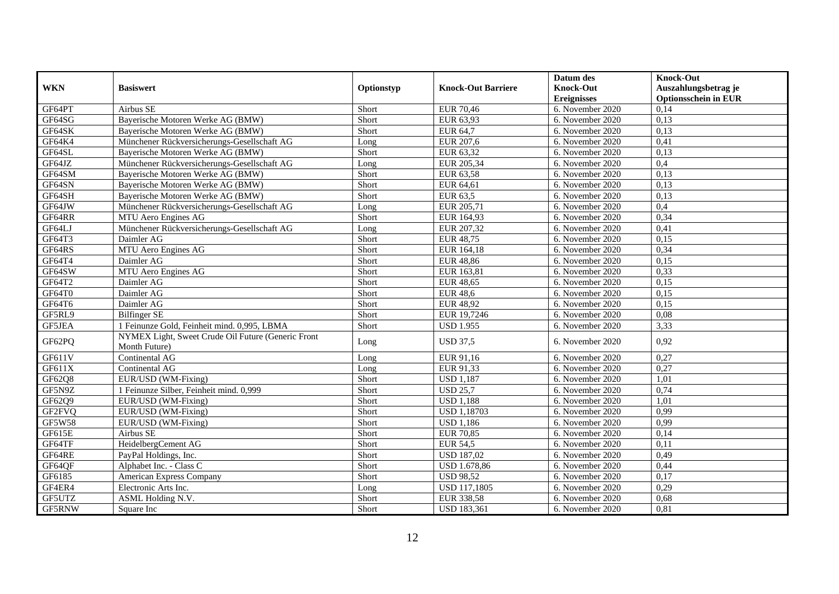|                  |                                                                                  |               |                           | Datum des                              | <b>Knock-Out</b>                                    |
|------------------|----------------------------------------------------------------------------------|---------------|---------------------------|----------------------------------------|-----------------------------------------------------|
| <b>WKN</b>       | <b>Basiswert</b>                                                                 | Optionstyp    | <b>Knock-Out Barriere</b> | <b>Knock-Out</b><br><b>Ereignisses</b> | Auszahlungsbetrag je<br><b>Optionsschein in EUR</b> |
| GF64PT           | Airbus SE                                                                        | Short         | <b>EUR 70,46</b>          | 6. November 2020                       | 0,14                                                |
| GF64SG           | Bayerische Motoren Werke AG (BMW)                                                | Short         | EUR 63,93                 | 6. November 2020                       | 0,13                                                |
| GF64SK           | Bayerische Motoren Werke AG (BMW)                                                | Short         | EUR 64,7                  | 6. November 2020                       | 0,13                                                |
| GF64K4           |                                                                                  |               |                           |                                        |                                                     |
|                  | Münchener Rückversicherungs-Gesellschaft AG<br>Bayerische Motoren Werke AG (BMW) | Long<br>Short | EUR 207,6                 | 6. November 2020                       | 0,41<br>0,13                                        |
| GF64SL<br>GF64JZ | Münchener Rückversicherungs-Gesellschaft AG                                      |               | EUR 63,32<br>EUR 205,34   | 6. November 2020<br>6. November 2020   | 0,4                                                 |
| GF64SM           |                                                                                  | Long          |                           |                                        | 0,13                                                |
|                  | Bayerische Motoren Werke AG (BMW)                                                | Short         | EUR 63,58                 | 6. November 2020                       |                                                     |
| GF64SN           | Bayerische Motoren Werke AG (BMW)                                                | Short         | EUR 64,61                 | 6. November 2020                       | 0,13                                                |
| GF64SH           | Bayerische Motoren Werke AG (BMW)                                                | Short         | EUR 63,5                  | 6. November 2020                       | 0,13                                                |
| GF64JW           | Münchener Rückversicherungs-Gesellschaft AG                                      | Long          | EUR 205,71                | 6. November 2020                       | 0,4                                                 |
| GF64RR           | MTU Aero Engines AG                                                              | Short         | EUR 164,93                | 6. November 2020                       | 0,34                                                |
| GF64LJ           | Münchener Rückversicherungs-Gesellschaft AG                                      | Long          | EUR 207,32                | 6. November 2020                       | 0,41                                                |
| GF64T3           | Daimler AG                                                                       | Short         | EUR 48,75                 | 6. November 2020                       | 0,15                                                |
| GF64RS           | MTU Aero Engines AG                                                              | Short         | EUR 164,18                | 6. November 2020                       | 0,34                                                |
| GF64T4           | Daimler AG                                                                       | Short         | <b>EUR 48,86</b>          | 6. November 2020                       | 0,15                                                |
| GF64SW           | MTU Aero Engines AG                                                              | Short         | EUR 163,81                | 6. November 2020                       | 0,33                                                |
| GF64T2           | Daimler AG                                                                       | Short         | <b>EUR 48,65</b>          | 6. November 2020                       | 0.15                                                |
| GF64T0           | Daimler AG                                                                       | Short         | <b>EUR 48,6</b>           | 6. November 2020                       | 0,15                                                |
| GF64T6           | Daimler AG                                                                       | Short         | <b>EUR 48,92</b>          | 6. November 2020                       | 0,15                                                |
| GF5RL9           | <b>Bilfinger SE</b>                                                              | Short         | EUR 19,7246               | 6. November 2020                       | 0,08                                                |
| GF5JEA           | 1 Feinunze Gold, Feinheit mind. 0,995, LBMA                                      | Short         | USD $1.955$               | 6. November 2020                       | 3,33                                                |
| GF62PQ           | NYMEX Light, Sweet Crude Oil Future (Generic Front<br>Month Future)              | Long          | <b>USD 37,5</b>           | 6. November 2020                       | 0,92                                                |
| GF611V           | Continental AG                                                                   | Long          | EUR 91,16                 | 6. November 2020                       | 0,27                                                |
| GF611X           | Continental AG                                                                   | Long          | EUR 91,33                 | 6. November 2020                       | 0,27                                                |
| GF62Q8           | EUR/USD (WM-Fixing)                                                              | Short         | <b>USD 1,187</b>          | 6. November 2020                       | 1,01                                                |
| GF5N9Z           | 1 Feinunze Silber, Feinheit mind. 0,999                                          | Short         | <b>USD 25,7</b>           | 6. November 2020                       | 0,74                                                |
| GF62Q9           | EUR/USD (WM-Fixing)                                                              | Short         | <b>USD 1,188</b>          | 6. November 2020                       | 1,01                                                |
| GF2FVQ           | EUR/USD (WM-Fixing)                                                              | Short         | <b>USD 1,18703</b>        | 6. November 2020                       | 0,99                                                |
| <b>GF5W58</b>    | EUR/USD (WM-Fixing)                                                              | Short         | <b>USD 1,186</b>          | 6. November 2020                       | 0,99                                                |
| GF615E           | Airbus SE                                                                        | Short         | <b>EUR 70,85</b>          | 6. November 2020                       | 0,14                                                |
| GF64TF           | HeidelbergCement AG                                                              | Short         | <b>EUR 54,5</b>           | 6. November 2020                       | 0,11                                                |
| GF64RE           | PayPal Holdings, Inc.                                                            | Short         | <b>USD 187,02</b>         | 6. November 2020                       | 0,49                                                |
|                  |                                                                                  |               |                           |                                        |                                                     |
| GF64QF           | Alphabet Inc. - Class C                                                          | Short         | <b>USD 1.678,86</b>       | 6. November 2020                       | 0,44                                                |
| GF6185           | American Express Company                                                         | Short         | <b>USD 98,52</b>          | 6. November 2020                       | 0,17                                                |
| GF4ER4           | Electronic Arts Inc.                                                             | Long          | <b>USD 117,1805</b>       | 6. November 2020                       | 0,29                                                |
| GF5UTZ           | ASML Holding N.V.                                                                | Short         | EUR 338,58                | 6. November 2020                       | 0,68                                                |
| GF5RNW           | Square Inc                                                                       | Short         | <b>USD 183,361</b>        | 6. November 2020                       | 0,81                                                |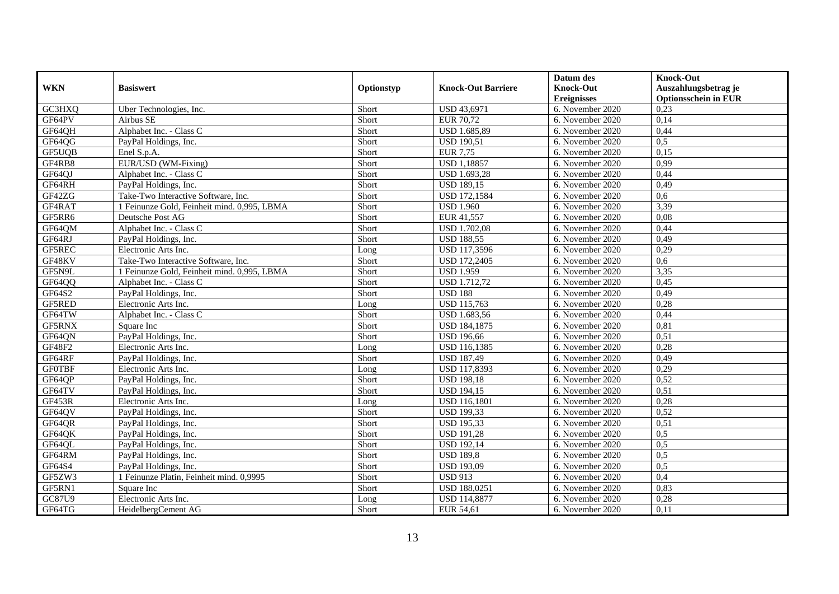|               |                                             |            |                           | Datum des          | <b>Knock-Out</b>            |
|---------------|---------------------------------------------|------------|---------------------------|--------------------|-----------------------------|
| <b>WKN</b>    | <b>Basiswert</b>                            | Optionstyp | <b>Knock-Out Barriere</b> | <b>Knock-Out</b>   | Auszahlungsbetrag je        |
|               |                                             |            |                           | <b>Ereignisses</b> | <b>Optionsschein in EUR</b> |
| GC3HXQ        | Uber Technologies, Inc.                     | Short      | <b>USD 43,6971</b>        | 6. November 2020   | 0,23                        |
| GF64PV        | Airbus SE                                   | Short      | EUR 70,72                 | 6. November 2020   | 0.14                        |
| GF64QH        | Alphabet Inc. - Class C                     | Short      | USD 1.685,89              | 6. November 2020   | 0,44                        |
| GF64QG        | PayPal Holdings, Inc.                       | Short      | <b>USD 190,51</b>         | 6. November 2020   | 0,5                         |
| GF5UQB        | Enel S.p.A.                                 | Short      | <b>EUR 7,75</b>           | 6. November 2020   | 0.15                        |
| GF4RB8        | EUR/USD (WM-Fixing)                         | Short      | <b>USD 1,18857</b>        | 6. November 2020   | 0.99                        |
| GF64QJ        | Alphabet Inc. - Class C                     | Short      | USD 1.693,28              | 6. November 2020   | 0,44                        |
| GF64RH        | PayPal Holdings, Inc.                       | Short      | <b>USD 189,15</b>         | 6. November 2020   | 0,49                        |
| GF42ZG        | Take-Two Interactive Software, Inc.         | Short      | <b>USD 172,1584</b>       | 6. November 2020   | 0.6                         |
| GF4RAT        | 1 Feinunze Gold, Feinheit mind, 0.995, LBMA | Short      | <b>USD 1.960</b>          | 6. November 2020   | 3,39                        |
| GF5RR6        | Deutsche Post AG                            | Short      | EUR 41,557                | 6. November 2020   | 0,08                        |
| GF64QM        | Alphabet Inc. - Class C                     | Short      | <b>USD 1.702,08</b>       | 6. November 2020   | 0,44                        |
| GF64RJ        | PayPal Holdings, Inc.                       | Short      | <b>USD 188,55</b>         | 6. November 2020   | 0,49                        |
| GF5REC        | Electronic Arts Inc.                        | Long       | USD 117,3596              | 6. November 2020   | 0,29                        |
| GF48KV        | Take-Two Interactive Software, Inc.         | Short      | <b>USD 172,2405</b>       | 6. November 2020   | 0,6                         |
| GF5N9L        | 1 Feinunze Gold, Feinheit mind. 0,995, LBMA | Short      | <b>USD 1.959</b>          | 6. November 2020   | 3,35                        |
| GF64QQ        | Alphabet Inc. - Class C                     | Short      | <b>USD 1.712,72</b>       | 6. November 2020   | 0,45                        |
| GF64S2        | PayPal Holdings, Inc.                       | Short      | <b>USD 188</b>            | 6. November 2020   | 0.49                        |
| GF5RED        | Electronic Arts Inc.                        | Long       | <b>USD 115,763</b>        | 6. November 2020   | 0,28                        |
| GF64TW        | Alphabet Inc. - Class C                     | Short      | USD 1.683,56              | 6. November 2020   | 0,44                        |
| GF5RNX        | Square Inc                                  | Short      | <b>USD 184,1875</b>       | 6. November 2020   | 0,81                        |
| GF64QN        | PayPal Holdings, Inc.                       | Short      | <b>USD 196,66</b>         | 6. November 2020   | 0,51                        |
| GF48F2        | Electronic Arts Inc.                        | Long       | <b>USD 116,1385</b>       | 6. November 2020   | 0,28                        |
| GF64RF        | PayPal Holdings, Inc.                       | Short      | <b>USD 187,49</b>         | 6. November 2020   | 0,49                        |
| <b>GFOTBF</b> | Electronic Arts Inc.                        | Long       | USD 117,8393              | 6. November 2020   | 0,29                        |
| GF64QP        | PayPal Holdings, Inc.                       | Short      | <b>USD 198,18</b>         | 6. November 2020   | 0,52                        |
| GF64TV        | PayPal Holdings, Inc.                       | Short      | <b>USD 194,15</b>         | 6. November 2020   | 0,51                        |
| GF453R        | Electronic Arts Inc.                        | Long       | <b>USD 116,1801</b>       | 6. November 2020   | 0,28                        |
| GF64QV        | PayPal Holdings, Inc.                       | Short      | <b>USD 199,33</b>         | 6. November 2020   | 0,52                        |
| GF64QR        | PayPal Holdings, Inc.                       | Short      | <b>USD 195,33</b>         | 6. November 2020   | 0,51                        |
| GF64QK        | PayPal Holdings, Inc.                       | Short      | <b>USD 191,28</b>         | 6. November 2020   | 0,5                         |
| GF64QL        | PayPal Holdings, Inc.                       | Short      | <b>USD 192,14</b>         | 6. November 2020   | 0,5                         |
| GF64RM        | PayPal Holdings, Inc.                       | Short      | <b>USD 189,8</b>          | 6. November 2020   | 0,5                         |
| GF64S4        | PayPal Holdings, Inc.                       | Short      | <b>USD 193,09</b>         | 6. November 2020   | 0,5                         |
| GF5ZW3        | 1 Feinunze Platin, Feinheit mind. 0,9995    | Short      | <b>USD 913</b>            | 6. November 2020   | 0,4                         |
| GF5RN1        | Square Inc                                  | Short      | USD 188,0251              | 6. November 2020   | 0,83                        |
| GC87U9        | Electronic Arts Inc.                        | Long       | <b>USD 114,8877</b>       | 6. November 2020   | 0,28                        |
| GF64TG        | HeidelbergCement AG                         | Short      | EUR 54,61                 | 6. November 2020   | 0,11                        |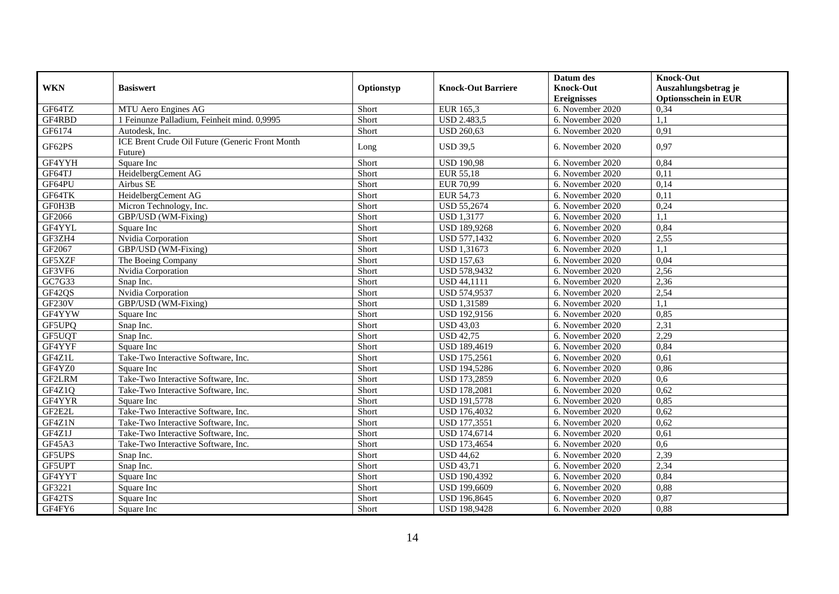|                                |                                                            |            |                           | Datum des          | <b>Knock-Out</b>            |
|--------------------------------|------------------------------------------------------------|------------|---------------------------|--------------------|-----------------------------|
| <b>WKN</b>                     | <b>Basiswert</b>                                           | Optionstyp | <b>Knock-Out Barriere</b> | <b>Knock-Out</b>   | Auszahlungsbetrag je        |
|                                |                                                            |            |                           | <b>Ereignisses</b> | <b>Optionsschein in EUR</b> |
| GF64TZ                         | MTU Aero Engines AG                                        | Short      | EUR 165,3                 | 6. November 2020   | 0,34                        |
| GF4RBD                         | 1 Feinunze Palladium, Feinheit mind. 0,9995                | Short      | <b>USD 2.483,5</b>        | 6. November 2020   | 1,1                         |
| GF6174                         | Autodesk, Inc.                                             | Short      | <b>USD 260,63</b>         | 6. November 2020   | 0.91                        |
| GF62PS                         | ICE Brent Crude Oil Future (Generic Front Month<br>Future) | Long       | <b>USD 39,5</b>           | 6. November 2020   | 0.97                        |
| GF4YYH                         | Square Inc                                                 | Short      | <b>USD 190,98</b>         | 6. November 2020   | 0,84                        |
| GF64TJ                         | HeidelbergCement AG                                        | Short      | EUR 55,18                 | 6. November 2020   | 0,11                        |
| GF64PU                         | Airbus SE                                                  | Short      | <b>EUR 70,99</b>          | 6. November 2020   | 0.14                        |
| GF64TK                         | HeidelbergCement AG                                        | Short      | EUR 54,73                 | 6. November 2020   | 0,11                        |
| GF0H3B                         | Micron Technology, Inc.                                    | Short      | <b>USD 55,2674</b>        | 6. November 2020   | 0,24                        |
| GF2066                         | GBP/USD (WM-Fixing)                                        | Short      | <b>USD 1,3177</b>         | 6. November 2020   | 1,1                         |
| GF4YYL                         | Square Inc                                                 | Short      | <b>USD 189,9268</b>       | 6. November 2020   | 0,84                        |
| GF3ZH4                         | Nvidia Corporation                                         | Short      | USD 577,1432              | 6. November 2020   | 2,55                        |
| GF2067                         | GBP/USD (WM-Fixing)                                        | Short      | USD 1,31673               | 6. November 2020   | 1,1                         |
| GF5XZF                         | The Boeing Company                                         | Short      | <b>USD 157,63</b>         | 6. November 2020   | 0,04                        |
| GF3VF6                         | Nvidia Corporation                                         | Short      | USD 578,9432              | 6. November 2020   | 2,56                        |
| G <sub>C7</sub> <sub>G33</sub> | Snap Inc.                                                  | Short      | <b>USD 44,1111</b>        | 6. November 2020   | 2,36                        |
| GF42QS                         | Nvidia Corporation                                         | Short      | <b>USD 574.9537</b>       | 6. November 2020   | 2,54                        |
| <b>GF230V</b>                  | GBP/USD (WM-Fixing)                                        | Short      | <b>USD 1,31589</b>        | 6. November 2020   | 1,1                         |
| GF4YYW                         | Square Inc                                                 | Short      | USD 192,9156              | 6. November 2020   | 0,85                        |
| GF5UPQ                         | Snap Inc.                                                  | Short      | <b>USD 43,03</b>          | 6. November 2020   | 2,31                        |
| GF5UQT                         | Snap Inc.                                                  | Short      | <b>USD 42,75</b>          | 6. November 2020   | 2,29                        |
| GF4YYF                         | Square Inc                                                 | Short      | USD 189,4619              | 6. November 2020   | 0,84                        |
| GF4Z1L                         | Take-Two Interactive Software, Inc.                        | Short      | <b>USD 175,2561</b>       | 6. November 2020   | 0.61                        |
| GF4YZ0                         | Square Inc                                                 | Short      | <b>USD 194,5286</b>       | 6. November 2020   | 0,86                        |
| GF2LRM                         | Take-Two Interactive Software, Inc.                        | Short      | USD 173,2859              | 6. November 2020   | 0,6                         |
| GF4Z1Q                         | Take-Two Interactive Software, Inc.                        | Short      | <b>USD 178,2081</b>       | 6. November 2020   | 0,62                        |
| GF4YYR                         | Square Inc                                                 | Short      | <b>USD 191,5778</b>       | 6. November 2020   | 0.85                        |
| GF2E2L                         | Take-Two Interactive Software, Inc.                        | Short      | <b>USD 176,4032</b>       | 6. November 2020   | 0.62                        |
| GF4Z1N                         | Take-Two Interactive Software, Inc.                        | Short      | USD 177,3551              | 6. November 2020   | 0,62                        |
| GF4Z1J                         | Take-Two Interactive Software, Inc.                        | Short      | <b>USD 174,6714</b>       | 6. November 2020   | 0,61                        |
| GF45A3                         | Take-Two Interactive Software, Inc.                        | Short      | USD 173,4654              | 6. November 2020   | 0.6                         |
| GF5UPS                         | Snap Inc.                                                  | Short      | <b>USD 44,62</b>          | 6. November 2020   | 2,39                        |
| GF5UPT                         | Snap Inc.                                                  | Short      | <b>USD 43,71</b>          | 6. November 2020   | 2,34                        |
| GF4YYT                         | Square Inc                                                 | Short      | <b>USD 190,4392</b>       | 6. November 2020   | 0,84                        |
| GF3221                         | Square Inc                                                 | Short      | <b>USD 199,6609</b>       | 6. November 2020   | 0,88                        |
| GF42TS                         | Square Inc                                                 | Short      | USD 196,8645              | 6. November 2020   | 0,87                        |
| GF4FY6                         | Square Inc                                                 | Short      | <b>USD 198,9428</b>       | 6. November 2020   | 0,88                        |